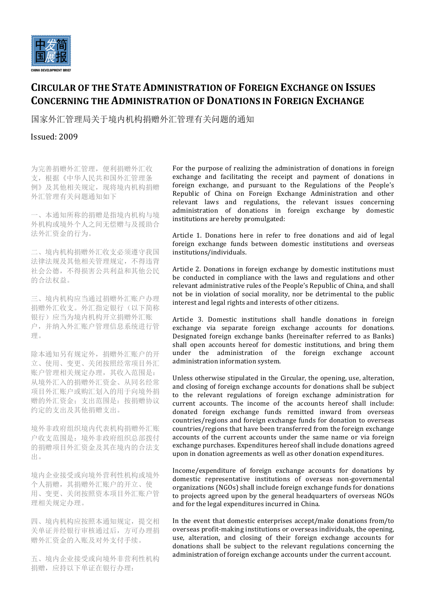

## **CIRCULAR OF THE STATE ADMINISTRATION OF FOREIGN EXCHANGE ON ISSUES CONCERNING THE ADMINISTRATION OF DONATIONS IN FOREIGN EXCHANGE**

国家外汇管理局关于境内机构捐赠外汇管理有关问题的通知

## Issued: 2009

为完善捐赠外汇管理,便利捐赠外汇收 支,根据《中华人民共和国外汇管理条 例》及其他相关规定,现将境内机构捐赠 外汇管理有关问题通知如下

一、本通知所称的捐赠是指境内机构与境 外机构或境外个人之间无偿赠与及援助合 法外汇资金的行为。

二、境内机构捐赠外汇收支必须遵守我国 法律法规及其他相关管理规定,不得违背 社会公德,不得损害公共利益和其他公民 的合法权益。

三、境内机构应当通过捐赠外汇账户办理 捐赠外汇收支。外汇指定银行(以下简称 银行)应当为境内机构开立捐赠外汇账 户,并纳入外汇账户管理信息系统进行管 理。

除本通知另有规定外,捐赠外汇账户的开 立、使用、变更、关闭按照经常项目外汇 账户管理相关规定办理,其收入范围是: 从境外汇入的捐赠外汇资金、从同名经常 项目外汇账户或购汇划入的用于向境外捐 赠的外汇资金;支出范围是:按捐赠协议 约定的支出及其他捐赠支出。

境外非政府组织境内代表机构捐赠外汇账 户收支范围是:境外非政府组织总部拨付 的捐赠项目外汇资金及其在境内的合法支 出。

境内企业接受或向境外营利性机构或境外 个人捐赠,其捐赠外汇账户的开立、使 用、变更、关闭按照资本项目外汇账户管 理相关规定办理。

四、境内机构应按照本通知规定,提交相 关单证并经银行审核通过后,方可办理捐 赠外汇资金的入账及对外支付手续。

五、境内企业接受或向境外非营利性机构 捐赠,应持以下单证在银行办理:

For the purpose of realizing the administration of donations in foreign exchange and facilitating the receipt and payment of donations in foreign exchange, and pursuant to the Regulations of the People's Republic of China on Foreign Exchange Administration and other relevant laws and regulations, the relevant issues concerning administration of donations in foreign exchange by domestic institutions are hereby promulgated:

Article 1. Donations here in refer to free donations and aid of legal foreign exchange funds between domestic institutions and overseas institutions/individuals.

Article 2. Donations in foreign exchange by domestic institutions must be conducted in compliance with the laws and regulations and other relevant administrative rules of the People's Republic of China, and shall not be in violation of social morality, nor be detrimental to the public interest and legal rights and interests of other citizens.

Article 3. Domestic institutions shall handle donations in foreign exchange via separate foreign exchange accounts for donations. Designated foreign exchange banks (hereinafter referred to as Banks) shall open accounts hereof for domestic institutions, and bring them under the administration of the foreign exchange account administration information system.

Unless otherwise stipulated in the Circular, the opening, use, alteration, and closing of foreign exchange accounts for donations shall be subject to the relevant regulations of foreign exchange administration for current accounts. The income of the accounts hereof shall include: donated foreign exchange funds remitted inward from overseas countries/regions and foreign exchange funds for donation to overseas countries/regions that have been transferred from the foreign exchange accounts of the current accounts under the same name or via foreign exchange purchases. Expenditures hereof shall include donations agreed upon in donation agreements as well as other donation expenditures.

Income/expenditure of foreign exchange accounts for donations by domestic representative institutions of overseas non-governmental organizations (NGOs) shall include foreign exchange funds for donations to projects agreed upon by the general headquarters of overseas NGOs and for the legal expenditures incurred in China.

In the event that domestic enterprises accept/make donations from/to overseas profit-making institutions or overseas individuals, the opening, use, alteration, and closing of their foreign exchange accounts for donations shall be subject to the relevant regulations concerning the administration of foreign exchange accounts under the current account.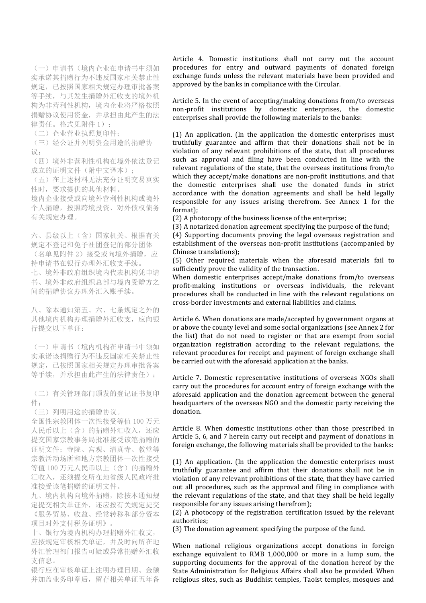(一)申请书(境内企业在申请书中须如 实承诺其捐赠行为不违反国家相关禁止性 规定,已按照国家相关规定办理审批备案 等手续,与其发生捐赠外汇收支的境外机 构为非营利性机构,境内企业将严格按照 捐赠协议使用资金,并承担由此产生的法 律责任。格式见附件 1);

(二)企业营业执照复印件;

(三)经公证并列明资金用途的捐赠协 议;

(四)境外非营利性机构在境外依法登记 成立的证明文件(附中文译本);

(五)在上述材料无法充分证明交易真实 性时,要求提供的其他材料。

境内企业接受或向境外营利性机构或境外 个人捐赠,按照跨境投资、对外债权债务 有关规定办理。

六、县级以上(含)国家机关、根据有关 规定不登记和免予社团登记的部分团体 (名单见附件 2)接受或向境外捐赠,应 持申请书在银行办理外汇收支手续。 七、境外非政府组织境内代表机构凭申请 书、境外非政府组织总部与境内受赠方之 间的捐赠协议办理外汇入账手续。

八、除本通知第五、六、七条规定之外的 其他境内机构办理捐赠外汇收支,应向银 行提交以下单证:

(一)申请书(境内机构在申请书中须如 实承诺该捐赠行为不违反国家相关禁止性 规定,已按照国家相关规定办理审批备案 等手续,并承担由此产生的法律责任);

(二)有关管理部门颁发的登记证书复印 件;

(三)列明用途的捐赠协议。

全国性宗教团体一次性接受等值 100 万元 人民币以上(含)的捐赠外汇收入,还应 提交国家宗教事务局批准接受该笔捐赠的 证明文件;寺院、宫观、清真寺、教堂等 宗教活动场所和地方宗教团体一次性接受 等值 100 万元人民币以上(含)的捐赠外 汇收入,还须提交所在地省级人民政府批 准接受该笔捐赠的证明文件。

九、境内机构向境外捐赠,除按本通知规 定提交相关单证外,还应按有关规定提交 《服务贸易、收益、经常转移和部分资本 项目对外支付税务证明》。

十、银行为境内机构办理捐赠外汇收支, 应按规定审核相关单证,并及时向所在地 外汇管理部门报告可疑或异常捐赠外汇收 支信息。

银行应在审核单证上注明办理日期、金额 并加盖业务印章后,留存相关单证五年备

Article 4. Domestic institutions shall not carry out the account procedures for entry and outward payments of donated foreign exchange funds unless the relevant materials have been provided and approved by the banks in compliance with the Circular.

Article 5. In the event of accepting/making donations from/to overseas non-profit institutions by domestic enterprises, the domestic enterprises shall provide the following materials to the banks:

(1) An application. (In the application the domestic enterprises must truthfully guarantee and affirm that their donations shall not be in violation of any relevant prohibitions of the state, that all procedures such as approval and filing have been conducted in line with the relevant regulations of the state, that the overseas institutions from/to which they accept/make donations are non-profit institutions, and that the domestic enterprises shall use the donated funds in strict accordance with the donation agreements and shall be held legally responsible for any issues arising therefrom. See Annex 1 for the format);

(2) A photocopy of the business license of the enterprise;

(3) A notarized donation agreement specifying the purpose of the fund;

(4) Supporting documents proving the legal overseas registration and establishment of the overseas non-profit institutions (accompanied by Chinese translations);

(5) Other required materials when the aforesaid materials fail to sufficiently prove the validity of the transaction.

When domestic enterprises accept/make donations from/to overseas profit-making institutions or overseas individuals, the relevant procedures shall be conducted in line with the relevant regulations on cross-border investments and external liabilities and claims.

Article 6. When donations are made/accepted by government organs at or above the county level and some social organizations (see Annex 2 for the list) that do not need to register or that are exempt from social organization registration according to the relevant regulations, the relevant procedures for receipt and payment of foreign exchange shall be carried out with the aforesaid application at the banks.

Article 7. Domestic representative institutions of overseas NGOs shall carry out the procedures for account entry of foreign exchange with the aforesaid application and the donation agreement between the general headquarters of the overseas NGO and the domestic party receiving the donation.

Article 8. When domestic institutions other than those prescribed in Article 5, 6, and 7 herein carry out receipt and payment of donations in foreign exchange, the following materials shall be provided to the banks:

(1) An application. (In the application the domestic enterprises must truthfully guarantee and affirm that their donations shall not be in violation of any relevant prohibitions of the state, that they have carried out all procedures, such as the approval and filing in compliance with the relevant regulations of the state, and that they shall be held legally responsible for any issues arising therefrom);

(2) A photocopy of the registration certification issued by the relevant authorities;

(3) The donation agreement specifying the purpose of the fund.

When national religious organizations accept donations in foreign exchange equivalent to RMB 1,000,000 or more in a lump sum, the supporting documents for the approval of the donation hereof by the State Administration for Religious Affairs shall also be provided. When religious sites, such as Buddhist temples, Taoist temples, mosques and